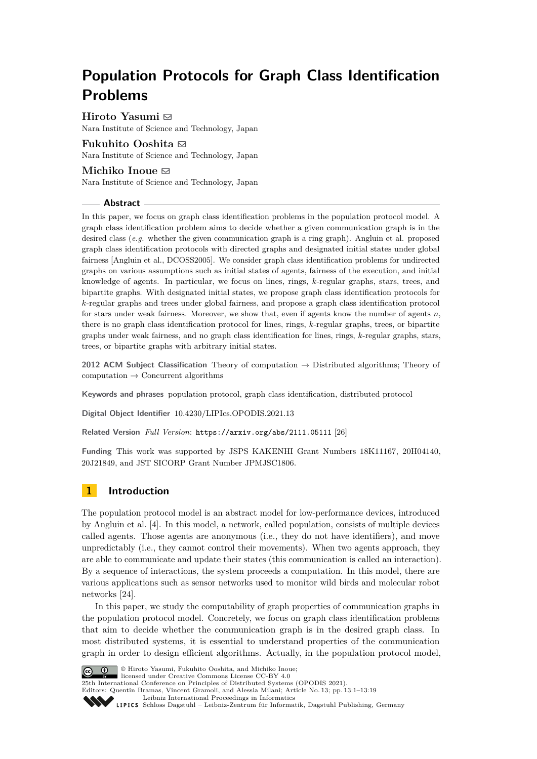# **Population Protocols for Graph Class Identification Problems**

**Hiroto Yasumi** ⊠ Nara Institute of Science and Technology, Japan

### **Fukuhito Ooshita** [#](mailto:f-oosita@is.naist.jp)

Nara Institute of Science and Technology, Japan

### **Michiko Inoue** ⊠

Nara Institute of Science and Technology, Japan

### **Abstract**

In this paper, we focus on graph class identification problems in the population protocol model. A graph class identification problem aims to decide whether a given communication graph is in the desired class (*e.g.* whether the given communication graph is a ring graph). Angluin et al. proposed graph class identification protocols with directed graphs and designated initial states under global fairness [Angluin et al., DCOSS2005]. We consider graph class identification problems for undirected graphs on various assumptions such as initial states of agents, fairness of the execution, and initial knowledge of agents. In particular, we focus on lines, rings, *k*-regular graphs, stars, trees, and bipartite graphs. With designated initial states, we propose graph class identification protocols for *k*-regular graphs and trees under global fairness, and propose a graph class identification protocol for stars under weak fairness. Moreover, we show that, even if agents know the number of agents *n*, there is no graph class identification protocol for lines, rings, *k*-regular graphs, trees, or bipartite graphs under weak fairness, and no graph class identification for lines, rings, *k*-regular graphs, stars, trees, or bipartite graphs with arbitrary initial states.

**2012 ACM Subject Classification** Theory of computation → Distributed algorithms; Theory of  $computation \rightarrow Concurrent algorithms$ 

**Keywords and phrases** population protocol, graph class identification, distributed protocol

**Digital Object Identifier** [10.4230/LIPIcs.OPODIS.2021.13](https://doi.org/10.4230/LIPIcs.OPODIS.2021.13)

**Related Version** *Full Version*: <https://arxiv.org/abs/2111.05111> [\[26\]](#page-14-0)

**Funding** This work was supported by JSPS KAKENHI Grant Numbers 18K11167, 20H04140, 20J21849, and JST SICORP Grant Number JPMJSC1806.

## **1 Introduction**

The population protocol model is an abstract model for low-performance devices, introduced by Angluin et al. [\[4\]](#page-13-0). In this model, a network, called population, consists of multiple devices called agents. Those agents are anonymous (i.e., they do not have identifiers), and move unpredictably (i.e., they cannot control their movements). When two agents approach, they are able to communicate and update their states (this communication is called an interaction). By a sequence of interactions, the system proceeds a computation. In this model, there are various applications such as sensor networks used to monitor wild birds and molecular robot networks [\[24\]](#page-14-1).

In this paper, we study the computability of graph properties of communication graphs in the population protocol model. Concretely, we focus on graph class identification problems that aim to decide whether the communication graph is in the desired graph class. In most distributed systems, it is essential to understand properties of the communication graph in order to design efficient algorithms. Actually, in the population protocol model,



© Hiroto Yasumi, Fukuhito Ooshita, and Michiko Inoue; licensed under Creative Commons License CC-BY 4.0

25th International Conference on Principles of Distributed Systems (OPODIS 2021).

Editors: Quentin Bramas, Vincent Gramoli, and Alessia Milani; Article No. 13; pp. 13:1–13:19

[Leibniz International Proceedings in Informatics](https://www.dagstuhl.de/lipics/)

SCHLOSS Dagstuhl – Leibniz-Zentrum für Informatik, Dagstuhl Publishing, Germany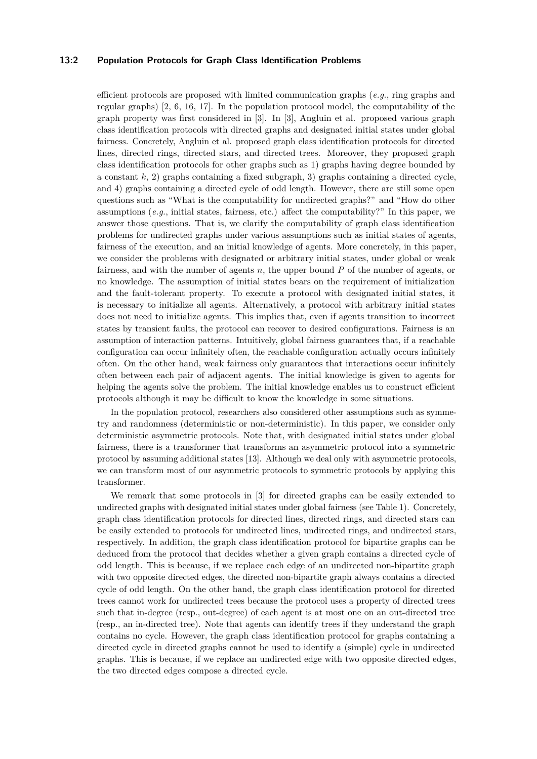#### **13:2 Population Protocols for Graph Class Identification Problems**

efficient protocols are proposed with limited communication graphs (*e.g.*, ring graphs and regular graphs) [\[2,](#page-13-1) [6,](#page-13-2) [16,](#page-14-2) [17\]](#page-14-3). In the population protocol model, the computability of the graph property was first considered in [\[3\]](#page-13-3). In [\[3\]](#page-13-3), Angluin et al. proposed various graph class identification protocols with directed graphs and designated initial states under global fairness. Concretely, Angluin et al. proposed graph class identification protocols for directed lines, directed rings, directed stars, and directed trees. Moreover, they proposed graph class identification protocols for other graphs such as 1) graphs having degree bounded by a constant  $k$ , 2) graphs containing a fixed subgraph, 3) graphs containing a directed cycle, and 4) graphs containing a directed cycle of odd length. However, there are still some open questions such as "What is the computability for undirected graphs?" and "How do other assumptions (*e.g.*, initial states, fairness, etc.) affect the computability?" In this paper, we answer those questions. That is, we clarify the computability of graph class identification problems for undirected graphs under various assumptions such as initial states of agents, fairness of the execution, and an initial knowledge of agents. More concretely, in this paper, we consider the problems with designated or arbitrary initial states, under global or weak fairness, and with the number of agents *n*, the upper bound *P* of the number of agents, or no knowledge. The assumption of initial states bears on the requirement of initialization and the fault-tolerant property. To execute a protocol with designated initial states, it is necessary to initialize all agents. Alternatively, a protocol with arbitrary initial states does not need to initialize agents. This implies that, even if agents transition to incorrect states by transient faults, the protocol can recover to desired configurations. Fairness is an assumption of interaction patterns. Intuitively, global fairness guarantees that, if a reachable configuration can occur infinitely often, the reachable configuration actually occurs infinitely often. On the other hand, weak fairness only guarantees that interactions occur infinitely often between each pair of adjacent agents. The initial knowledge is given to agents for helping the agents solve the problem. The initial knowledge enables us to construct efficient protocols although it may be difficult to know the knowledge in some situations.

In the population protocol, researchers also considered other assumptions such as symmetry and randomness (deterministic or non-deterministic). In this paper, we consider only deterministic asymmetric protocols. Note that, with designated initial states under global fairness, there is a transformer that transforms an asymmetric protocol into a symmetric protocol by assuming additional states [\[13\]](#page-13-4). Although we deal only with asymmetric protocols, we can transform most of our asymmetric protocols to symmetric protocols by applying this transformer.

We remark that some protocols in [\[3\]](#page-13-3) for directed graphs can be easily extended to undirected graphs with designated initial states under global fairness (see Table [1\)](#page-2-0). Concretely, graph class identification protocols for directed lines, directed rings, and directed stars can be easily extended to protocols for undirected lines, undirected rings, and undirected stars, respectively. In addition, the graph class identification protocol for bipartite graphs can be deduced from the protocol that decides whether a given graph contains a directed cycle of odd length. This is because, if we replace each edge of an undirected non-bipartite graph with two opposite directed edges, the directed non-bipartite graph always contains a directed cycle of odd length. On the other hand, the graph class identification protocol for directed trees cannot work for undirected trees because the protocol uses a property of directed trees such that in-degree (resp., out-degree) of each agent is at most one on an out-directed tree (resp., an in-directed tree). Note that agents can identify trees if they understand the graph contains no cycle. However, the graph class identification protocol for graphs containing a directed cycle in directed graphs cannot be used to identify a (simple) cycle in undirected graphs. This is because, if we replace an undirected edge with two opposite directed edges, the two directed edges compose a directed cycle.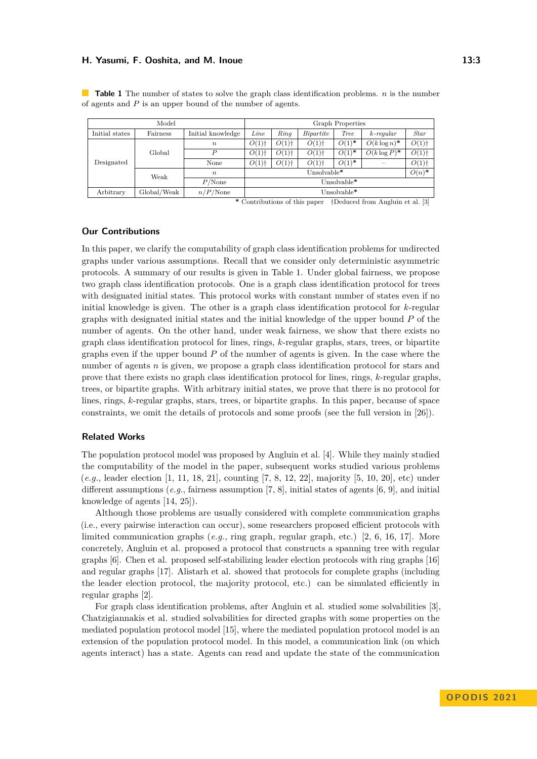| Model          |             |                   | Graph Properties    |                     |                     |             |                 |             |
|----------------|-------------|-------------------|---------------------|---------------------|---------------------|-------------|-----------------|-------------|
| Initial states | Fairness    | Initial knowledge | Line                | Ring                | Bipartite           | <b>Tree</b> | $k$ -regular    | <b>Star</b> |
| Designated     | Global      | $\boldsymbol{n}$  | $O(1)$ <sup>+</sup> | $O(1)$ <sup>+</sup> | $O(1)$ <sup>+</sup> | $O(1)^*$    | $O(k \log n)^*$ | O(1)        |
|                |             | $\boldsymbol{P}$  | $O(1)$ <sup>+</sup> | $O(1)$ <sup>+</sup> | $O(1)$ <sup>+</sup> | $O(1)^*$    | $O(k \log P)^*$ | O(1)        |
|                |             | None              | $O(1)$ <sup>+</sup> | $O(1)$ <sup>+</sup> | $O(1)$ <sup>+</sup> | $O(1)^*$    |                 | O(1)        |
|                | Weak        | $\boldsymbol{n}$  | Unsolvable*         |                     |                     |             |                 | $O(n)^*$    |
|                |             | $P/N$ one         | Unsolvable*         |                     |                     |             |                 |             |
| Arbitrary      | Global/Weak | $n/P/N$ one       | Unsolvable*         |                     |                     |             |                 |             |

<span id="page-2-0"></span>**Table 1** The number of states to solve the graph class identification problems. *n* is the number of agents and *P* is an upper bound of the number of agents.

**\*** Contributions of this paper †Deduced from Angluin et al. [\[3\]](#page-13-3)

### **Our Contributions**

In this paper, we clarify the computability of graph class identification problems for undirected graphs under various assumptions. Recall that we consider only deterministic asymmetric protocols. A summary of our results is given in Table [1.](#page-2-0) Under global fairness, we propose two graph class identification protocols. One is a graph class identification protocol for trees with designated initial states. This protocol works with constant number of states even if no initial knowledge is given. The other is a graph class identification protocol for *k*-regular graphs with designated initial states and the initial knowledge of the upper bound *P* of the number of agents. On the other hand, under weak fairness, we show that there exists no graph class identification protocol for lines, rings, *k*-regular graphs, stars, trees, or bipartite graphs even if the upper bound *P* of the number of agents is given. In the case where the number of agents *n* is given, we propose a graph class identification protocol for stars and prove that there exists no graph class identification protocol for lines, rings, *k*-regular graphs, trees, or bipartite graphs. With arbitrary initial states, we prove that there is no protocol for lines, rings, *k*-regular graphs, stars, trees, or bipartite graphs. In this paper, because of space constraints, we omit the details of protocols and some proofs (see the full version in [\[26\]](#page-14-0)).

#### **Related Works**

The population protocol model was proposed by Angluin et al. [\[4\]](#page-13-0). While they mainly studied the computability of the model in the paper, subsequent works studied various problems (*e.g.*, leader election [\[1,](#page-13-5) [11,](#page-13-6) [18,](#page-14-4) [21\]](#page-14-5), counting [\[7,](#page-13-7) [8,](#page-13-8) [12,](#page-13-9) [22\]](#page-14-6), majority [\[5,](#page-13-10) [10,](#page-13-11) [20\]](#page-14-7), etc) under different assumptions (*e.g.*, fairness assumption [\[7,](#page-13-7) [8\]](#page-13-8), initial states of agents [\[6,](#page-13-2) [9\]](#page-13-12), and initial knowledge of agents [\[14,](#page-13-13) [25\]](#page-14-8)).

Although those problems are usually considered with complete communication graphs (i.e., every pairwise interaction can occur), some researchers proposed efficient protocols with limited communication graphs (*e.g.*, ring graph, regular graph, etc.) [\[2,](#page-13-1) [6,](#page-13-2) [16,](#page-14-2) [17\]](#page-14-3). More concretely, Angluin et al. proposed a protocol that constructs a spanning tree with regular graphs [\[6\]](#page-13-2). Chen et al. proposed self-stabilizing leader election protocols with ring graphs [\[16\]](#page-14-2) and regular graphs [\[17\]](#page-14-3). Alistarh et al. showed that protocols for complete graphs (including the leader election protocol, the majority protocol, etc.) can be simulated efficiently in regular graphs [\[2\]](#page-13-1).

For graph class identification problems, after Angluin et al. studied some solvabilities [\[3\]](#page-13-3), Chatzigiannakis et al. studied solvabilities for directed graphs with some properties on the mediated population protocol model [\[15\]](#page-14-9), where the mediated population protocol model is an extension of the population protocol model. In this model, a communication link (on which agents interact) has a state. Agents can read and update the state of the communication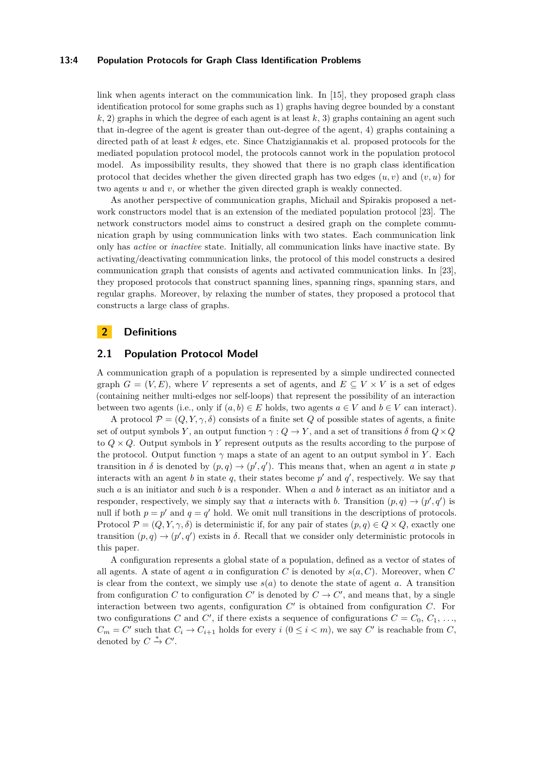#### **13:4 Population Protocols for Graph Class Identification Problems**

link when agents interact on the communication link. In [\[15\]](#page-14-9), they proposed graph class identification protocol for some graphs such as 1) graphs having degree bounded by a constant  $k$ , 2) graphs in which the degree of each agent is at least  $k$ , 3) graphs containing an agent such that in-degree of the agent is greater than out-degree of the agent, 4) graphs containing a directed path of at least *k* edges, etc. Since Chatzigiannakis et al. proposed protocols for the mediated population protocol model, the protocols cannot work in the population protocol model. As impossibility results, they showed that there is no graph class identification protocol that decides whether the given directed graph has two edges  $(u, v)$  and  $(v, u)$  for two agents *u* and *v*, or whether the given directed graph is weakly connected.

As another perspective of communication graphs, Michail and Spirakis proposed a network constructors model that is an extension of the mediated population protocol [\[23\]](#page-14-10). The network constructors model aims to construct a desired graph on the complete communication graph by using communication links with two states. Each communication link only has *active* or *inactive* state. Initially, all communication links have inactive state. By activating/deactivating communication links, the protocol of this model constructs a desired communication graph that consists of agents and activated communication links. In [\[23\]](#page-14-10), they proposed protocols that construct spanning lines, spanning rings, spanning stars, and regular graphs. Moreover, by relaxing the number of states, they proposed a protocol that constructs a large class of graphs.

### **2 Definitions**

### **2.1 Population Protocol Model**

A communication graph of a population is represented by a simple undirected connected graph  $G = (V, E)$ , where *V* represents a set of agents, and  $E \subseteq V \times V$  is a set of edges (containing neither multi-edges nor self-loops) that represent the possibility of an interaction between two agents (i.e., only if  $(a, b) \in E$  holds, two agents  $a \in V$  and  $b \in V$  can interact).

A protocol  $\mathcal{P} = (Q, Y, \gamma, \delta)$  consists of a finite set Q of possible states of agents, a finite set of output symbols *Y*, an output function  $\gamma$  :  $Q \to Y$ , and a set of transitions *δ* from  $Q \times Q$ to  $Q \times Q$ . Output symbols in Y represent outputs as the results according to the purpose of the protocol. Output function  $\gamma$  maps a state of an agent to an output symbol in *Y*. Each transition in  $\delta$  is denoted by  $(p, q) \to (p', q')$ . This means that, when an agent *a* in state *p* interacts with an agent *b* in state  $q$ , their states become  $p'$  and  $q'$ , respectively. We say that such *a* is an initiator and such *b* is a responder. When *a* and *b* interact as an initiator and a responder, respectively, we simply say that *a* interacts with *b*. Transition  $(p, q) \rightarrow (p', q')$  is null if both  $p = p'$  and  $q = q'$  hold. We omit null transitions in the descriptions of protocols. Protocol  $\mathcal{P} = (Q, Y, \gamma, \delta)$  is deterministic if, for any pair of states  $(p, q) \in Q \times Q$ , exactly one transition  $(p, q) \rightarrow (p', q')$  exists in  $\delta$ . Recall that we consider only deterministic protocols in this paper.

A configuration represents a global state of a population, defined as a vector of states of all agents. A state of agent *a* in configuration *C* is denoted by  $s(a, C)$ . Moreover, when *C* is clear from the context, we simply use *s*(*a*) to denote the state of agent *a*. A transition from configuration *C* to configuration *C'* is denoted by  $C \to C'$ , and means that, by a single interaction between two agents, configuration  $C'$  is obtained from configuration  $C$ . For two configurations *C* and *C'*, if there exists a sequence of configurations  $C = C_0, C_1, \ldots$  $C_m = C'$  such that  $C_i \to C_{i+1}$  holds for every  $i \ (0 \leq i < m)$ , we say  $C'$  is reachable from  $C$ , denoted by  $C \stackrel{*}{\to} C'$ .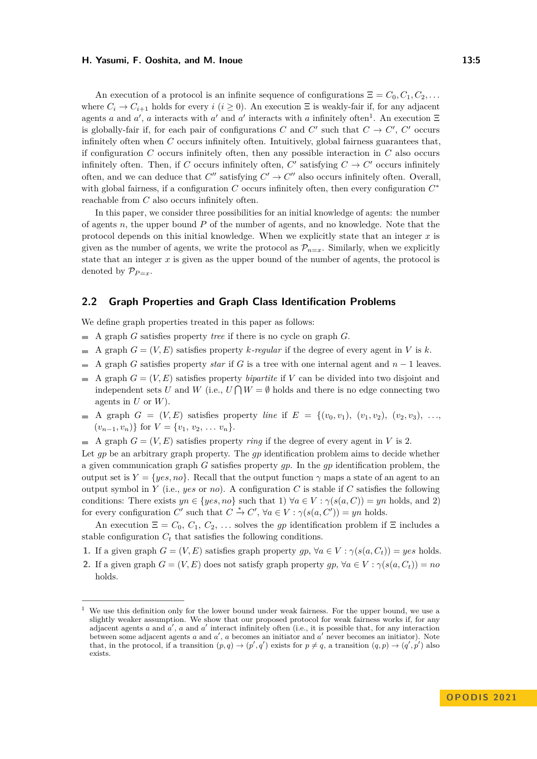An execution of a protocol is an infinite sequence of configurations  $\Xi = C_0, C_1, C_2, \ldots$ where  $C_i \rightarrow C_{i+1}$  holds for every *i* (*i*  $\geq$  0). An execution  $\Xi$  is weakly-fair if, for any adjacent agents *a* and *a*<sup>'</sup>, *a* interacts with *a*<sup>'</sup> and *a*<sup>'</sup> interacts with *a* infinitely often<sup>[1](#page-4-0)</sup>. An execution  $\Xi$ is globally-fair if, for each pair of configurations *C* and  $C'$  such that  $C \to C'$ ,  $C'$  occurs infinitely often when *C* occurs infinitely often. Intuitively, global fairness guarantees that, if configuration *C* occurs infinitely often, then any possible interaction in *C* also occurs infinitely often. Then, if *C* occurs infinitely often, *C'* satisfying  $C \to C'$  occurs infinitely often, and we can deduce that  $C''$  satisfying  $C' \rightarrow C''$  also occurs infinitely often. Overall, with global fairness, if a configuration *C* occurs infinitely often, then every configuration *C* ∗ reachable from *C* also occurs infinitely often.

In this paper, we consider three possibilities for an initial knowledge of agents: the number of agents *n*, the upper bound *P* of the number of agents, and no knowledge. Note that the protocol depends on this initial knowledge. When we explicitly state that an integer *x* is given as the number of agents, we write the protocol as  $\mathcal{P}_{n=x}$ . Similarly, when we explicitly state that an integer *x* is given as the upper bound of the number of agents, the protocol is denoted by  $\mathcal{P}_{P=x}$ .

### **2.2 Graph Properties and Graph Class Identification Problems**

We define graph properties treated in this paper as follows:

- $\blacksquare$  A graph *G* satisfies property *tree* if there is no cycle on graph *G*.
- A graph  $G = (V, E)$  satisfies property *k*-regular if the degree of every agent in *V* is *k*.  $\blacksquare$
- A graph *G* satisfies property *star* if *G* is a tree with one internal agent and *n* − 1 leaves.
- A graph  $G = (V, E)$  satisfies property *bipartite* if V can be divided into two disjoint and independent sets *U* and *W* (i.e.,  $U \cap W = \emptyset$  holds and there is no edge connecting two agents in *U* or *W*).
- $\blacksquare$  A graph  $G = (V, E)$  satisfies property *line* if  $E = \{(v_0, v_1), (v_1, v_2), (v_2, v_3), \ldots\}$  $(v_{n-1}, v_n)$ } for  $V = \{v_1, v_2, \ldots, v_n\}.$
- A graph  $G = (V, E)$  satisfies property *ring* if the degree of every agent in V is 2.

Let *gp* be an arbitrary graph property. The *gp* identification problem aims to decide whether a given communication graph *G* satisfies property *gp*. In the *gp* identification problem, the output set is  $Y = \{yes, no\}$ . Recall that the output function  $\gamma$  maps a state of an agent to an output symbol in *Y* (i.e., *yes* or *no*). A configuration *C* is stable if *C* satisfies the following conditions: There exists  $yn \in \{yes, no\}$  such that 1)  $\forall a \in V : \gamma(s(a, C)) = yn$  holds, and 2) for every configuration *C'* such that  $C \stackrel{*}{\to} C'$ ,  $\forall a \in V : \gamma(s(a, C')) = yn$  holds.

An execution  $\Xi = C_0, C_1, C_2, \ldots$  solves the *gp* identification problem if  $\Xi$  includes a stable configuration  $C_t$  that satisfies the following conditions.

- **1.** If a given graph  $G = (V, E)$  satisfies graph property  $qp, \forall a \in V : \gamma(s(a, C_t)) = yes$  holds.
- **2.** If a given graph  $G = (V, E)$  does not satisfy graph property  $gp$ ,  $\forall a \in V : \gamma(s(a, C_t)) = no$ holds.

<span id="page-4-0"></span><sup>1</sup> We use this definition only for the lower bound under weak fairness. For the upper bound, we use a slightly weaker assumption. We show that our proposed protocol for weak fairness works if, for any adjacent agents  $a$  and  $a'$ ,  $a$  and  $a'$  interact infinitely often (i.e., it is possible that, for any interaction between some adjacent agents *a* and *a'*, *a* becomes an initiator and *a'* never becomes an initiator). Note that, in the protocol, if a transition  $(p, q) \rightarrow (p', q')$  exists for  $p \neq q$ , a transition  $(q, p) \rightarrow (q', p')$  also exists.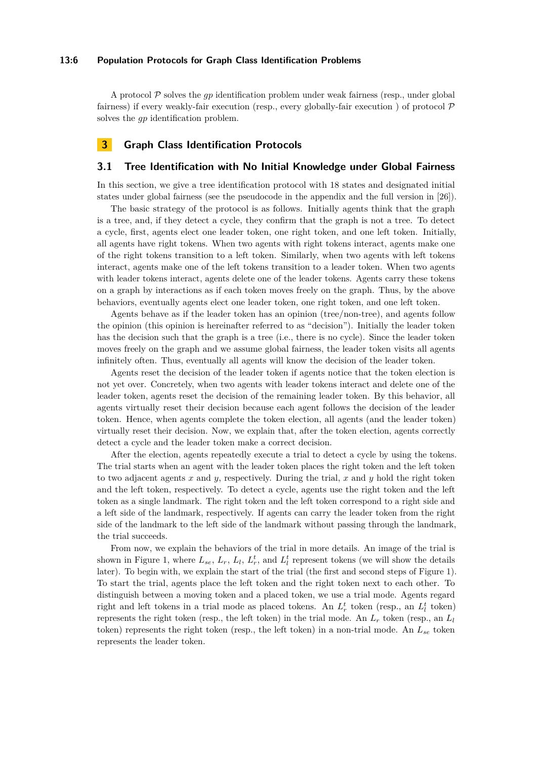#### **13:6 Population Protocols for Graph Class Identification Problems**

A protocol P solves the *gp* identification problem under weak fairness (resp., under global fairness) if every weakly-fair execution (resp., every globally-fair execution) of protocol  $\mathcal{P}$ solves the *gp* identification problem.

### **3 Graph Class Identification Protocols**

### <span id="page-5-0"></span>**3.1 Tree Identification with No Initial Knowledge under Global Fairness**

In this section, we give a tree identification protocol with 18 states and designated initial states under global fairness (see the pseudocode in the appendix and the full version in [\[26\]](#page-14-0)).

The basic strategy of the protocol is as follows. Initially agents think that the graph is a tree, and, if they detect a cycle, they confirm that the graph is not a tree. To detect a cycle, first, agents elect one leader token, one right token, and one left token. Initially, all agents have right tokens. When two agents with right tokens interact, agents make one of the right tokens transition to a left token. Similarly, when two agents with left tokens interact, agents make one of the left tokens transition to a leader token. When two agents with leader tokens interact, agents delete one of the leader tokens. Agents carry these tokens on a graph by interactions as if each token moves freely on the graph. Thus, by the above behaviors, eventually agents elect one leader token, one right token, and one left token.

Agents behave as if the leader token has an opinion (tree/non-tree), and agents follow the opinion (this opinion is hereinafter referred to as "decision"). Initially the leader token has the decision such that the graph is a tree (i.e., there is no cycle). Since the leader token moves freely on the graph and we assume global fairness, the leader token visits all agents infinitely often. Thus, eventually all agents will know the decision of the leader token.

Agents reset the decision of the leader token if agents notice that the token election is not yet over. Concretely, when two agents with leader tokens interact and delete one of the leader token, agents reset the decision of the remaining leader token. By this behavior, all agents virtually reset their decision because each agent follows the decision of the leader token. Hence, when agents complete the token election, all agents (and the leader token) virtually reset their decision. Now, we explain that, after the token election, agents correctly detect a cycle and the leader token make a correct decision.

After the election, agents repeatedly execute a trial to detect a cycle by using the tokens. The trial starts when an agent with the leader token places the right token and the left token to two adjacent agents *x* and *y*, respectively. During the trial, *x* and *y* hold the right token and the left token, respectively. To detect a cycle, agents use the right token and the left token as a single landmark. The right token and the left token correspond to a right side and a left side of the landmark, respectively. If agents can carry the leader token from the right side of the landmark to the left side of the landmark without passing through the landmark, the trial succeeds.

From now, we explain the behaviors of the trial in more details. An image of the trial is shown in Figure [1,](#page-6-0) where  $L_{se}$ ,  $L_r$ ,  $L_l$ ,  $L_r^t$ , and  $L_l^t$  represent tokens (we will show the details later). To begin with, we explain the start of the trial (the first and second steps of Figure [1\)](#page-6-0). To start the trial, agents place the left token and the right token next to each other. To distinguish between a moving token and a placed token, we use a trial mode. Agents regard right and left tokens in a trial mode as placed tokens. An  $L_r^t$  token (resp., an  $L_l^t$  token) represents the right token (resp., the left token) in the trial mode. An *L<sup>r</sup>* token (resp., an *L<sup>l</sup>* token) represents the right token (resp., the left token) in a non-trial mode. An *Lse* token represents the leader token.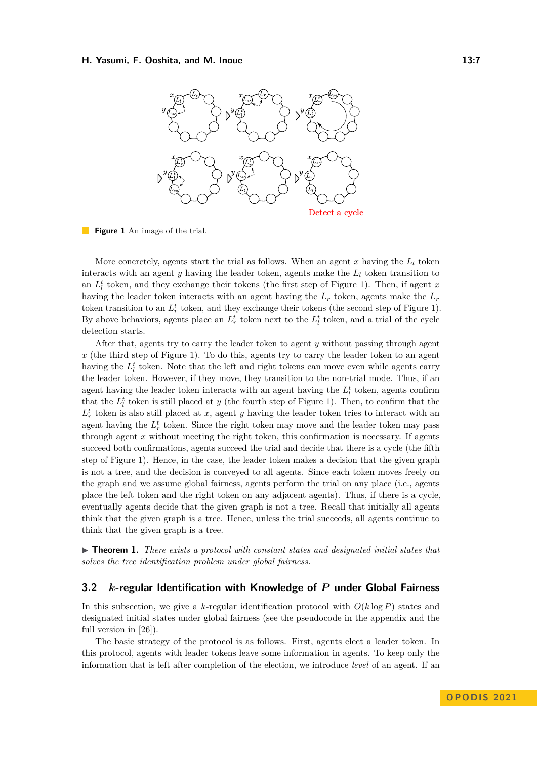<span id="page-6-0"></span>

**Figure 1** An image of the trial.

More concretely, agents start the trial as follows. When an agent  $x$  having the  $L_l$  token interacts with an agent  $y$  having the leader token, agents make the  $L_l$  token transition to an  $L_l^t$  token, and they exchange their tokens (the first step of Figure [1\)](#page-6-0). Then, if agent *x* having the leader token interacts with an agent having the *L<sup>r</sup>* token, agents make the *L<sup>r</sup>* token transition to an  $L_r^t$  token, and they exchange their tokens (the second step of Figure [1\)](#page-6-0). By above behaviors, agents place an  $L_r^t$  token next to the  $L_l^t$  token, and a trial of the cycle detection starts.

After that, agents try to carry the leader token to agent *y* without passing through agent *x* (the third step of Figure [1\)](#page-6-0). To do this, agents try to carry the leader token to an agent having the  $L_l^t$  token. Note that the left and right tokens can move even while agents carry the leader token. However, if they move, they transition to the non-trial mode. Thus, if an agent having the leader token interacts with an agent having the  $L_l^t$  token, agents confirm that the  $L_l^t$  token is still placed at *y* (the fourth step of Figure [1\)](#page-6-0). Then, to confirm that the  $L_r^t$  token is also still placed at *x*, agent *y* having the leader token tries to interact with an agent having the  $L_r^t$  token. Since the right token may move and the leader token may pass through agent *x* without meeting the right token, this confirmation is necessary. If agents succeed both confirmations, agents succeed the trial and decide that there is a cycle (the fifth step of Figure [1\)](#page-6-0). Hence, in the case, the leader token makes a decision that the given graph is not a tree, and the decision is conveyed to all agents. Since each token moves freely on the graph and we assume global fairness, agents perform the trial on any place (i.e., agents place the left token and the right token on any adjacent agents). Thus, if there is a cycle, eventually agents decide that the given graph is not a tree. Recall that initially all agents think that the given graph is a tree. Hence, unless the trial succeeds, all agents continue to think that the given graph is a tree.

▶ **Theorem 1.** *There exists a protocol with constant states and designated initial states that solves the tree identification problem under global fairness.*

### <span id="page-6-1"></span>**3.2** *k***-regular Identification with Knowledge of** *P* **under Global Fairness**

In this subsection, we give a *k*-regular identification protocol with  $O(k \log P)$  states and designated initial states under global fairness (see the pseudocode in the appendix and the full version in [\[26\]](#page-14-0)).

The basic strategy of the protocol is as follows. First, agents elect a leader token. In this protocol, agents with leader tokens leave some information in agents. To keep only the information that is left after completion of the election, we introduce *level* of an agent. If an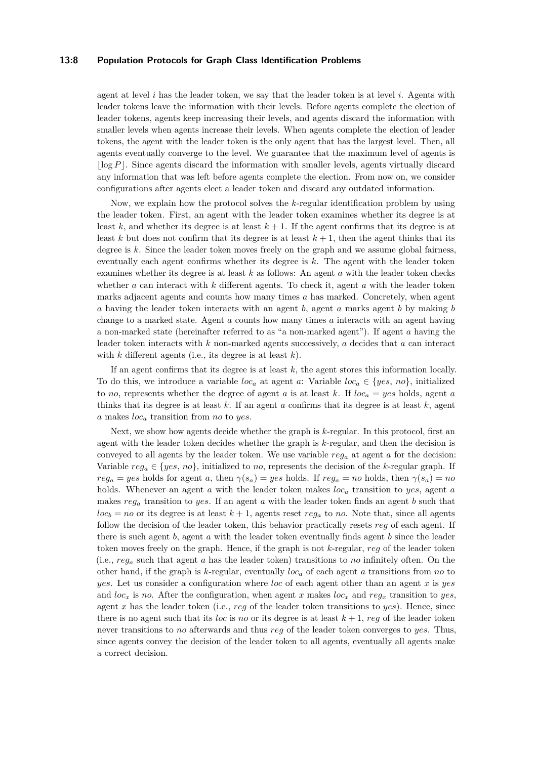#### **13:8 Population Protocols for Graph Class Identification Problems**

agent at level *i* has the leader token, we say that the leader token is at level *i*. Agents with leader tokens leave the information with their levels. Before agents complete the election of leader tokens, agents keep increasing their levels, and agents discard the information with smaller levels when agents increase their levels. When agents complete the election of leader tokens, the agent with the leader token is the only agent that has the largest level. Then, all agents eventually converge to the level. We guarantee that the maximum level of agents is  $\lfloor \log P \rfloor$ . Since agents discard the information with smaller levels, agents virtually discard any information that was left before agents complete the election. From now on, we consider configurations after agents elect a leader token and discard any outdated information.

Now, we explain how the protocol solves the *k*-regular identification problem by using the leader token. First, an agent with the leader token examines whether its degree is at least  $k$ , and whether its degree is at least  $k + 1$ . If the agent confirms that its degree is at least *k* but does not confirm that its degree is at least  $k + 1$ , then the agent thinks that its degree is *k*. Since the leader token moves freely on the graph and we assume global fairness, eventually each agent confirms whether its degree is *k*. The agent with the leader token examines whether its degree is at least *k* as follows: An agent *a* with the leader token checks whether *a* can interact with *k* different agents. To check it, agent *a* with the leader token marks adjacent agents and counts how many times *a* has marked. Concretely, when agent *a* having the leader token interacts with an agent *b*, agent *a* marks agent *b* by making *b* change to a marked state. Agent *a* counts how many times *a* interacts with an agent having a non-marked state (hereinafter referred to as "a non-marked agent"). If agent *a* having the leader token interacts with *k* non-marked agents successively, *a* decides that *a* can interact with *k* different agents (i.e., its degree is at least *k*).

If an agent confirms that its degree is at least *k*, the agent stores this information locally. To do this, we introduce a variable  $loc_a$  at agent a: Variable  $loc_a \in \{yes, no\}$ , initialized to *no*, represents whether the degree of agent *a* is at least *k*. If  $loc_a = yes$  holds, agent *a* thinks that its degree is at least  $k$ . If an agent  $a$  confirms that its degree is at least  $k$ , agent *a* makes *loc<sup>a</sup>* transition from *no* to *yes*.

Next, we show how agents decide whether the graph is *k*-regular. In this protocol, first an agent with the leader token decides whether the graph is *k*-regular, and then the decision is conveyed to all agents by the leader token. We use variable *reg<sup>a</sup>* at agent *a* for the decision: Variable  $reg_a \in \{yes, no\}$ , initialized to *no*, represents the decision of the *k*-regular graph. If  $reg_a = yes$  holds for agent *a*, then  $\gamma(s_a) = yes$  holds. If  $reg_a = no$  holds, then  $\gamma(s_a) = no$ holds. Whenever an agent *a* with the leader token makes *loc<sup>a</sup>* transition to *yes*, agent *a* makes *reg<sup>a</sup>* transition to *yes*. If an agent *a* with the leader token finds an agent *b* such that  $loc_b = no$  or its degree is at least  $k + 1$ , agents reset  $reg_a$  to *no*. Note that, since all agents follow the decision of the leader token, this behavior practically resets *reg* of each agent. If there is such agent *b*, agent *a* with the leader token eventually finds agent *b* since the leader token moves freely on the graph. Hence, if the graph is not *k*-regular, *reg* of the leader token (i.e., *reg<sup>a</sup>* such that agent *a* has the leader token) transitions to *no* infinitely often. On the other hand, if the graph is *k*-regular, eventually *loc<sup>a</sup>* of each agent *a* transitions from *no* to *yes*. Let us consider a configuration where *loc* of each agent other than an agent *x* is *yes* and  $loc_x$  is no. After the configuration, when agent x makes  $loc_x$  and  $reg_x$  transition to yes, agent *x* has the leader token (i.e., *reg* of the leader token transitions to *yes*). Hence, since there is no agent such that its *loc* is *no* or its degree is at least  $k + 1$ , *reg* of the leader token never transitions to *no* afterwards and thus *reg* of the leader token converges to *yes*. Thus, since agents convey the decision of the leader token to all agents, eventually all agents make a correct decision.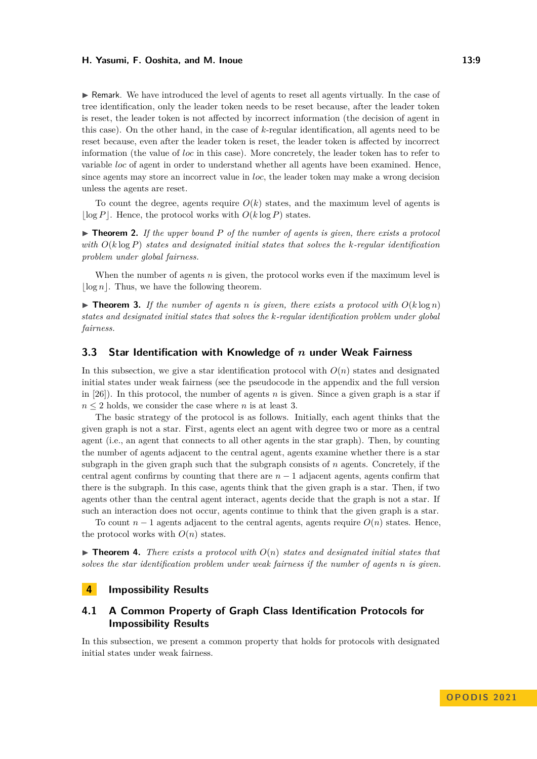$\triangleright$  Remark. We have introduced the level of agents to reset all agents virtually. In the case of tree identification, only the leader token needs to be reset because, after the leader token is reset, the leader token is not affected by incorrect information (the decision of agent in this case). On the other hand, in the case of *k*-regular identification, all agents need to be reset because, even after the leader token is reset, the leader token is affected by incorrect information (the value of *loc* in this case). More concretely, the leader token has to refer to variable *loc* of agent in order to understand whether all agents have been examined. Hence, since agents may store an incorrect value in *loc*, the leader token may make a wrong decision unless the agents are reset.

To count the degree, agents require  $O(k)$  states, and the maximum level of agents is  $\log P$ . Hence, the protocol works with  $O(k \log P)$  states.

▶ **Theorem 2.** *If the upper bound P of the number of agents is given, there exists a protocol with O*(*k* log *P*) *states and designated initial states that solves the k-regular identification problem under global fairness.*

When the number of agents *n* is given, the protocol works even if the maximum level is  $\log n$ . Thus, we have the following theorem.

 $\triangleright$  **Theorem 3.** If the number of agents *n* is given, there exists a protocol with  $O(k \log n)$ *states and designated initial states that solves the k-regular identification problem under global fairness.*

### <span id="page-8-0"></span>**3.3 Star Identification with Knowledge of** *n* **under Weak Fairness**

In this subsection, we give a star identification protocol with  $O(n)$  states and designated initial states under weak fairness (see the pseudocode in the appendix and the full version in [\[26\]](#page-14-0)). In this protocol, the number of agents *n* is given. Since a given graph is a star if  $n \leq 2$  holds, we consider the case where *n* is at least 3.

The basic strategy of the protocol is as follows. Initially, each agent thinks that the given graph is not a star. First, agents elect an agent with degree two or more as a central agent (i.e., an agent that connects to all other agents in the star graph). Then, by counting the number of agents adjacent to the central agent, agents examine whether there is a star subgraph in the given graph such that the subgraph consists of *n* agents. Concretely, if the central agent confirms by counting that there are  $n-1$  adjacent agents, agents confirm that there is the subgraph. In this case, agents think that the given graph is a star. Then, if two agents other than the central agent interact, agents decide that the graph is not a star. If such an interaction does not occur, agents continue to think that the given graph is a star.

To count  $n-1$  agents adjacent to the central agents, agents require  $O(n)$  states. Hence, the protocol works with  $O(n)$  states.

 $\triangleright$  **Theorem 4.** There exists a protocol with  $O(n)$  states and designated initial states that *solves the star identification problem under weak fairness if the number of agents n is given.*

### **4 Impossibility Results**

### **4.1 A Common Property of Graph Class Identification Protocols for Impossibility Results**

In this subsection, we present a common property that holds for protocols with designated initial states under weak fairness.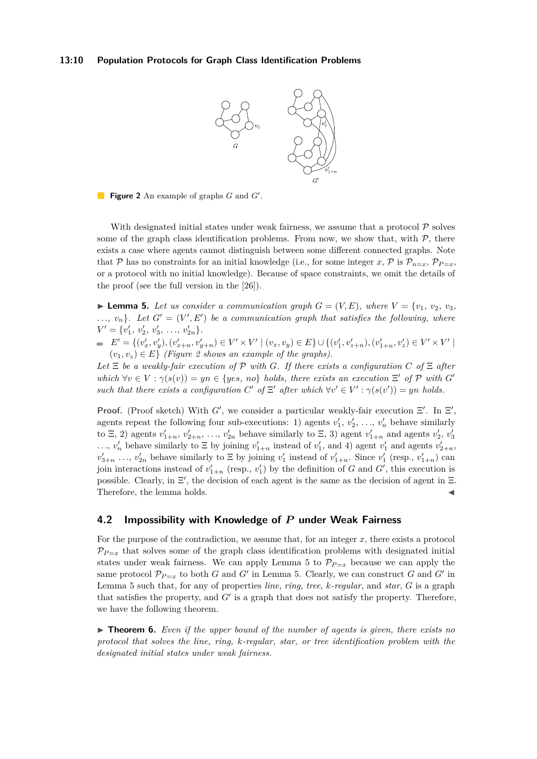#### <span id="page-9-0"></span>**13:10 Population Protocols for Graph Class Identification Problems**



**Figure 2** An example of graphs *G* and *G* ′ .

With designated initial states under weak fairness, we assume that a protocol  $\mathcal P$  solves some of the graph class identification problems. From now, we show that, with  $P$ , there exists a case where agents cannot distinguish between some different connected graphs. Note that P has no constraints for an initial knowledge (i.e., for some integer x, P is  $\mathcal{P}_{n=x}$ ,  $\mathcal{P}_{P=x}$ or a protocol with no initial knowledge). Because of space constraints, we omit the details of the proof (see the full version in the [\[26\]](#page-14-0)).

<span id="page-9-1"></span> $\blacktriangleright$  **Lemma 5.** Let us consider a communication graph  $G = (V, E)$ , where  $V = \{v_1, v_2, v_3, v_4\}$  $..., v_n$ . Let  $G' = (V', E')$  be a communication graph that satisfies the following, where  $V' = \{v'_1, v'_2, v'_3, \ldots, v'_{2n}\}.$ 

 $E' = \{(v'_x, v'_y), (v'_{x+n}, v'_{y+n}) \in V' \times V' \mid (v_x, v_y) \in E\} \cup \{(v'_1, v'_{z+n}), (v'_{1+n}, v'_z) \in V' \times V' \mid (v'_x, v'_y) \in V' \times V' \in V' \times V' \}$  $(v_1, v_2) \in E$  *(Figure [2](#page-9-0) shows an example of the graphs).* 

 $Let E be a weakly-fair execution of P with G.$  If there exists a configuration  $C$  of  $E$  after *which*  $\forall v \in V : \gamma(s(v)) = yn \in \{yes, no\}$  *holds, there exists an execution* Ξ' *of* P *with* G' *such that there exists a configuration*  $C'$  of  $\Xi'$  after which  $\forall v' \in V': \gamma(s(v')) = yn$  holds.

**Proof.** (Proof sketch) With  $G'$ , we consider a particular weakly-fair execution  $\Xi'$ . In  $\Xi'$ , agents repeat the following four sub-executions: 1) agents  $v'_1, v'_2, \ldots, v'_n$  behave similarly to  $\Xi$ , 2) agents  $v'_{1+n}$ ,  $v'_{2+n}$ , ...,  $v'_{2n}$  behave similarly to  $\Xi$ , 3) agent  $v'_{1+n}$  and agents  $v'_{2}$ ,  $v'_{3}$ ...,  $v'_n$  behave similarly to  $\Xi$  by joining  $v'_{1+n}$  instead of  $v'_1$ , and 4) agent  $v'_1$  and agents  $v'_{2+n}$ ,  $v'_{3+n}$  ...,  $v'_{2n}$  behave similarly to  $\Xi$  by joining  $v'_1$  instead of  $v'_{1+n}$ . Since  $v'_1$  (resp.,  $v'_{1+n}$ ) can join interactions instead of  $v'_{1+n}$  (resp.,  $v'_{1}$ ) by the definition of *G* and *G'*, this execution is possible. Clearly, in Ξ ′ , the decision of each agent is the same as the decision of agent in Ξ. Therefore, the lemma holds.

### **4.2 Impossibility with Knowledge of** *P* **under Weak Fairness**

For the purpose of the contradiction, we assume that, for an integer *x*, there exists a protocol  $\mathcal{P}_{P=x}$  that solves some of the graph class identification problems with designated initial states under weak fairness. We can apply Lemma [5](#page-9-1) to  $\mathcal{P}_{P=x}$  because we can apply the same protocol  $\mathcal{P}_{P=x}$  to both *G* and *G'* in Lemma [5.](#page-9-1) Clearly, we can construct *G* and *G'* in Lemma [5](#page-9-1) such that, for any of properties *line*, *ring*, *tree*, *k-regular*, and *star*, *G* is a graph that satisfies the property, and  $G'$  is a graph that does not satisfy the property. Therefore, we have the following theorem.

<span id="page-9-2"></span>▶ **Theorem 6.** *Even if the upper bound of the number of agents is given, there exists no protocol that solves the line, ring, k-regular, star, or tree identification problem with the designated initial states under weak fairness.*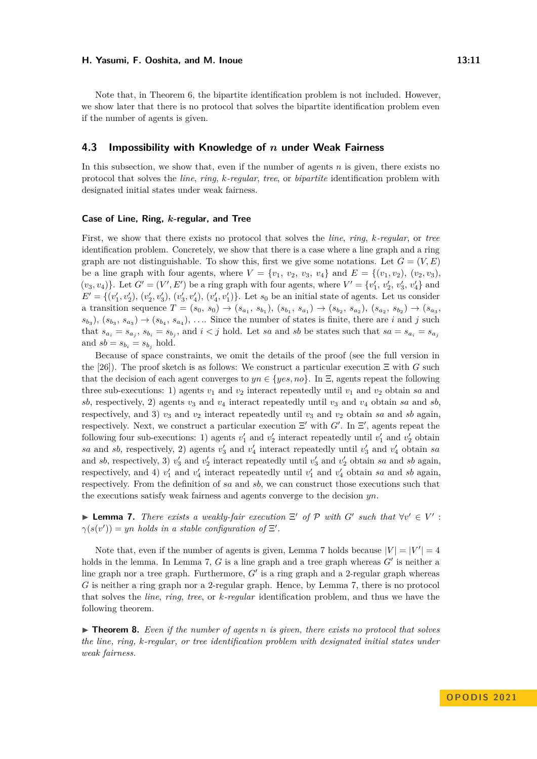Note that, in Theorem [6,](#page-9-2) the bipartite identification problem is not included. However, we show later that there is no protocol that solves the bipartite identification problem even if the number of agents is given.

### **4.3 Impossibility with Knowledge of** *n* **under Weak Fairness**

In this subsection, we show that, even if the number of agents *n* is given, there exists no protocol that solves the *line*, *ring*, *k-regular*, *tree*, or *bipartite* identification problem with designated initial states under weak fairness.

#### **Case of Line, Ring,** *k***-regular, and Tree**

First, we show that there exists no protocol that solves the *line*, *ring*, *k-regular*, or *tree* identification problem. Concretely, we show that there is a case where a line graph and a ring graph are not distinguishable. To show this, first we give some notations. Let  $G = (V, E)$ be a line graph with four agents, where  $V = \{v_1, v_2, v_3, v_4\}$  and  $E = \{(v_1, v_2), (v_2, v_3),$  $(v_3, v_4)$ . Let  $G' = (V', E')$  be a ring graph with four agents, where  $V' = \{v'_1, v'_2, v'_3, v'_4\}$  and  $E' = \{(v'_1, v'_2), (v'_2, v'_3), (v'_3, v'_4), (v'_4, v'_1)\}.$  Let  $s_0$  be an initial state of agents. Let us consider a transition sequence  $T = (s_0, s_0) \rightarrow (s_{a_1}, s_{b_1}), (s_{b_1}, s_{a_1}) \rightarrow (s_{b_2}, s_{a_2}), (s_{a_2}, s_{b_2}) \rightarrow (s_{a_3}, s_{b_3})$  $s_{b_3}$ ,  $(s_{b_3}, s_{a_3}) \rightarrow (s_{b_4}, s_{a_4})$ ,  $\dots$  Since the number of states is finite, there are *i* and *j* such that  $s_{a_i} = s_{a_j}$ ,  $s_{b_i} = s_{b_j}$ , and  $i < j$  hold. Let sa and sb be states such that  $sa = s_{a_i} = s_{a_j}$ and  $sb = s_{b_i} = s_{b_i}$  hold.

Because of space constraints, we omit the details of the proof (see the full version in the [\[26\]](#page-14-0)). The proof sketch is as follows: We construct a particular execution  $\Xi$  with  $G$  such that the decision of each agent converges to  $yn \in \{yes, no\}$ . In  $\Xi$ , agents repeat the following three sub-executions: 1) agents  $v_1$  and  $v_2$  interact repeatedly until  $v_1$  and  $v_2$  obtain *sa* and  $sb$ , respectively, 2) agents  $v_3$  and  $v_4$  interact repeatedly until  $v_3$  and  $v_4$  obtain *sa* and *sb*, respectively, and 3)  $v_3$  and  $v_2$  interact repeatedly until  $v_3$  and  $v_2$  obtain *sa* and *sb* again, respectively. Next, we construct a particular execution  $\Xi'$  with  $G'$ . In  $\Xi'$ , agents repeat the following four sub-executions: 1) agents  $v'_1$  and  $v'_2$  interact repeatedly until  $v'_1$  and  $v'_2$  obtain *sa* and *sb*, respectively, 2) agents  $v'_3$  and  $v'_4$  interact repeatedly until  $v'_3$  and  $v'_4$  obtain *sa* and *sb*, respectively, 3)  $v_3'$  and  $v_2'$  interact repeatedly until  $v_3'$  and  $v_2'$  obtain *sa* and *sb* again, respectively, and 4)  $v'_1$  and  $v'_4$  interact repeatedly until  $v'_1$  and  $v'_4$  obtain *sa* and *sb* again, respectively. From the definition of *sa* and *sb*, we can construct those executions such that the executions satisfy weak fairness and agents converge to the decision *yn*.

<span id="page-10-0"></span>**Example 7.** There exists a weakly-fair execution  $\Xi'$  of  $\mathcal{P}$  with  $G'$  such that  $\forall v' \in V'$ :  $\gamma(s(v')) = yn holds in a stable configuration of  $\Xi'$ .$ 

Note that, even if the number of agents is given, Lemma [7](#page-10-0) holds because  $|V| = |V'| = 4$ holds in the lemma. In Lemma [7,](#page-10-0) *G* is a line graph and a tree graph whereas *G'* is neither a line graph nor a tree graph. Furthermore, *G*′ is a ring graph and a 2-regular graph whereas *G* is neither a ring graph nor a 2-regular graph. Hence, by Lemma [7,](#page-10-0) there is no protocol that solves the *line*, *ring*, *tree*, or *k-regular* identification problem, and thus we have the following theorem.

▶ **Theorem 8.** *Even if the number of agents n is given, there exists no protocol that solves the line, ring, k-regular, or tree identification problem with designated initial states under weak fairness.*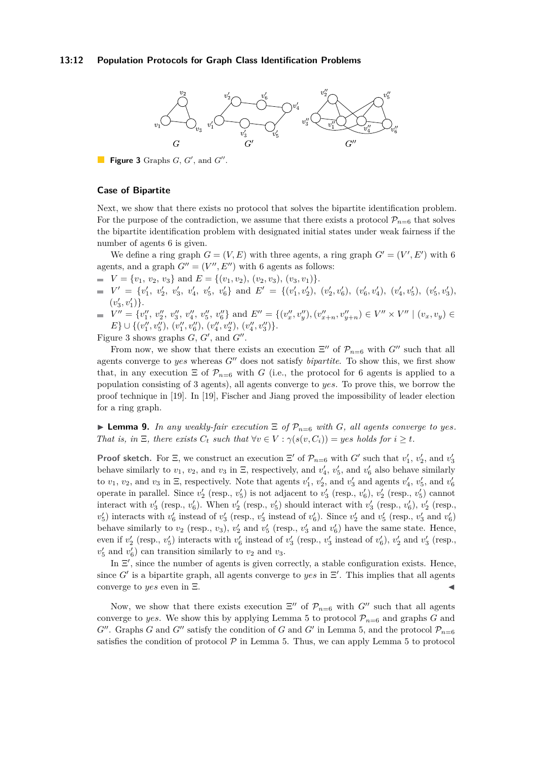#### <span id="page-11-0"></span>**13:12 Population Protocols for Graph Class Identification Problems**



Figure 3 Graphs  $G, G'$ , and  $G''$ .

#### **Case of Bipartite**

Next, we show that there exists no protocol that solves the bipartite identification problem. For the purpose of the contradiction, we assume that there exists a protocol  $\mathcal{P}_{n=6}$  that solves the bipartite identification problem with designated initial states under weak fairness if the number of agents 6 is given.

We define a ring graph  $G = (V, E)$  with three agents, a ring graph  $G' = (V', E')$  with 6 agents, and a graph  $G'' = (V'', E'')$  with 6 agents as follows:

- $V = \{v_1, v_2, v_3\}$  and  $E = \{(v_1, v_2), (v_2, v_3), (v_3, v_1)\}.$
- $V' = \{v'_1, v'_2, v'_3, v'_4, v'_5, v'_6\}$  and  $E' = \{(v'_1, v'_2), (v'_2, v'_6), (v'_6, v'_4), (v'_4, v'_5), (v'_5, v'_3)\}$  $(v'_3, v'_1)$ .  $_3,v_1$
- $V'' = \{v''_1, v''_2, v''_3, v''_4, v''_5, v''_6\}$  and  $E'' = \{(v''_x, v''_y), (v''_{x+n}, v''_{y+n}) \in V'' \times V'' \mid (v_x, v_y) \in V''$  $E$ }  $\cup$  {(*v*<sup>*l'*</sup>, *v'*<sub>1</sub><sup>'</sup>), (*v'*<sub>1</sub><sup>'</sup>, *v'*<sub>1</sub>'<sub>0</sub>'), (*v'*<sub>1</sub><sup>'</sup>, *v'*<sub>1</sub>'<sub>2</sub>'), (*v'*<sub>4</sub><sup>'</sup>, *v'*<sub>3</sub>')</sub>}.

Figure [3](#page-11-0) shows graphs  $G, G'$ , and  $G''$ .

From now, we show that there exists an execution  $\Xi''$  of  $\mathcal{P}_{n=6}$  with  $G''$  such that all agents converge to *yes* whereas *G*′′ does not satisfy *bipartite*. To show this, we first show that, in any execution  $\Xi$  of  $\mathcal{P}_{n=6}$  with *G* (i.e., the protocol for 6 agents is applied to a population consisting of 3 agents), all agents converge to *yes*. To prove this, we borrow the proof technique in [\[19\]](#page-14-11). In [\[19\]](#page-14-11), Fischer and Jiang proved the impossibility of leader election for a ring graph.

<span id="page-11-1"></span> $\blacktriangleright$  **Lemma 9.** In any weakly-fair execution  $\Xi$  of  $\mathcal{P}_{n=6}$  with *G*, all agents converge to yes. *That is, in*  $\Xi$ *, there exists*  $C_t$  *such that*  $\forall v \in V : \gamma(s(v, C_i)) = \text{yes holds for } i \geq t$ *.* 

**Proof sketch.** For  $\Xi$ , we construct an execution  $\Xi'$  of  $\mathcal{P}_{n=6}$  with *G'* such that  $v'_1$ ,  $v'_2$ , and  $v'_3$ behave similarly to  $v_1$ ,  $v_2$ , and  $v_3$  in  $\Xi$ , respectively, and  $v'_4$ ,  $v'_5$ , and  $v'_6$  also behave similarly to  $v_1$ ,  $v_2$ , and  $v_3$  in  $\Xi$ , respectively. Note that agents  $v'_1$ ,  $v'_2$ , and  $v'_3$  and agents  $v'_4$ ,  $v'_5$ , and  $v'_6$ operate in parallel. Since  $v_2'$  (resp.,  $v_5'$ ) is not adjacent to  $v_3'$  (resp.,  $v_6'$ ),  $v_2'$  (resp.,  $v_5'$ ) cannot interact with  $v'_3$  (resp.,  $v'_6$ ). When  $v'_2$  (resp.,  $v'_5$ ) should interact with  $v'_3$  (resp.,  $v'_6$ ),  $v'_2$  (resp.,  $v_5'$  interacts with  $v_6'$  instead of  $v_3'$  (resp.,  $v_3'$  instead of  $v_6'$ ). Since  $v_2'$  and  $v_5'$  (resp.,  $v_3'$  and  $v_6'$ ) behave similarly to  $v_2$  (resp.,  $v_3$ ),  $v_2'$  and  $v_5'$  (resp.,  $v_3'$  and  $v_6'$ ) have the same state. Hence, even if  $v'_2$  (resp.,  $v'_5$ ) interacts with  $v'_6$  instead of  $v'_3$  (resp.,  $v'_3$  instead of  $v'_6$ ),  $v'_2$  and  $v'_3$  (resp.,  $v'_5$  and  $v'_6$ ) can transition similarly to  $v_2$  and  $v_3$ .

In  $\Xi'$ , since the number of agents is given correctly, a stable configuration exists. Hence, since  $G'$  is a bipartite graph, all agents converge to *yes* in  $\Xi'$ . This implies that all agents converge to *yes* even in  $\Xi$ .

Now, we show that there exists execution  $\Xi''$  of  $\mathcal{P}_{n=6}$  with  $G''$  such that all agents converge to *yes*. We show this by applying Lemma [5](#page-9-1) to protocol  $\mathcal{P}_{n=6}$  and graphs *G* and  $G''$ . Graphs *G* and  $G''$  satisfy the condition of *G* and  $G'$  in Lemma [5,](#page-9-1) and the protocol  $\mathcal{P}_{n=6}$ satisfies the condition of protocol  $P$  in Lemma [5.](#page-9-1) Thus, we can apply Lemma [5](#page-9-1) to protocol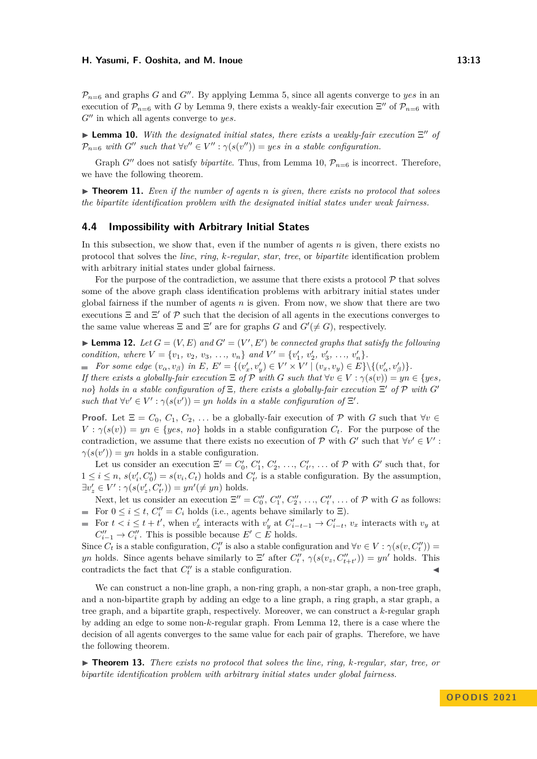$\mathcal{P}_{n=6}$  and graphs *G* and *G*<sup> $\prime\prime$ </sup>. By applying Lemma [5,](#page-9-1) since all agents converge to *yes* in an execution of  $\mathcal{P}_{n=6}$  with *G* by Lemma [9,](#page-11-1) there exists a weakly-fair execution  $\Xi''$  of  $\mathcal{P}_{n=6}$  with *G*′′ in which all agents converge to *yes*.

<span id="page-12-0"></span>**Lemma 10.** With the designated initial states, there exists a weakly-fair execution  $\Xi''$  of  $\mathcal{P}_{n=6}$  *with*  $G''$  *such that*  $\forall v'' \in V'' : \gamma(s(v'')) = yes$  *in a stable configuration.* 

Graph *G*<sup> $\prime\prime$ </sup> does not satisfy *bipartite*. Thus, from Lemma [10,](#page-12-0)  $\mathcal{P}_{n=6}$  is incorrect. Therefore, we have the following theorem.

▶ **Theorem 11.** *Even if the number of agents n is given, there exists no protocol that solves the bipartite identification problem with the designated initial states under weak fairness.*

### **4.4 Impossibility with Arbitrary Initial States**

In this subsection, we show that, even if the number of agents *n* is given, there exists no protocol that solves the *line*, *ring*, *k-regular*, *star*, *tree*, or *bipartite* identification problem with arbitrary initial states under global fairness.

For the purpose of the contradiction, we assume that there exists a protocol  $\mathcal{P}$  that solves some of the above graph class identification problems with arbitrary initial states under global fairness if the number of agents *n* is given. From now, we show that there are two executions  $\Xi$  and  $\Xi'$  of  $\mathcal P$  such that the decision of all agents in the executions converges to the same value whereas  $\Xi$  and  $\Xi'$  are for graphs *G* and  $G'(\neq G)$ , respectively.

<span id="page-12-1"></span>**• Lemma 12.** Let  $G = (V, E)$  and  $G' = (V', E')$  be connected graphs that satisfy the following condition, where  $V = \{v_1, v_2, v_3, ..., v_n\}$  and  $V' = \{v'_1, v'_2, v'_3, ..., v'_n\}.$ 

For some edge  $(v_{\alpha}, v_{\beta})$  in E,  $E' = \{(v'_x, v'_y) \in V' \times V' \mid (v_x, v_y) \in E\} \setminus \{(v'_{\alpha}, v'_{\beta})\}.$ 

*If there exists a globally-fair execution*  $\Xi$  *of*  $\mathcal{P}$  *with*  $G$  *such that*  $\forall v \in V : \gamma(s(v)) = yn \in \{yes,$ *no*} *holds in a stable configuration of* Ξ*, there exists a globally-fair execution* Ξ ′ *of* P *with G*′ such that  $\forall v' \in V' : \gamma(s(v')) = yn holds in a stable configuration of  $\Xi'$ .$ 

**Proof.** Let  $\Xi = C_0, C_1, C_2, \ldots$  be a globally-fair execution of  $\mathcal{P}$  with  $G$  such that  $\forall v \in \mathcal{P}$  $V : \gamma(s(v)) = yn \in \{yes, no\}$  holds in a stable configuration  $C_t$ . For the purpose of the contradiction, we assume that there exists no execution of  $P$  with  $G'$  such that  $\forall v' \in V'$ :  $\gamma(s(v')) = yn$  holds in a stable configuration.

Let us consider an execution  $\Xi' = C'_0, C'_1, C'_2, \ldots, C'_{t'}$ ,  $\ldots$  of  $\mathcal{P}$  with  $G'$  such that, for  $1 \leq i \leq n$ ,  $s(v'_i, C'_0) = s(v_i, C_t)$  holds and  $C'_{t'}$  is a stable configuration. By the assumption,  $\exists v'_z \in V' : \gamma(s(v'_z, C'_{t'})) = yn'(\neq yn)$  holds.

Next, let us consider an execution  $\Xi'' = C''_0, C''_1, C''_2, \ldots, C''_t, \ldots$  of  $\mathcal{P}$  with *G* as follows: For  $0 \le i \le t$ ,  $C_i'' = C_i$  holds (i.e., agents behave similarly to  $\Xi$ ).

For  $t < i \leq t + t'$ , when  $v'_x$  interacts with  $v'_y$  at  $C'_{i-t-1} \to C'_{i-t}$ ,  $v_x$  interacts with  $v_y$  at  $C''_{i-1} \to C''_i$ . This is possible because  $E' \subset E$  holds.

Since  $C_t$  is a stable configuration,  $C_t''$  is also a stable configuration and  $\forall v \in V : \gamma(s(v, C_t''))$ *yn* holds. Since agents behave similarly to  $\Xi'$  after  $C''_t$ ,  $\gamma(s(v_z, C''_{t+t'})) = yn'$  holds. This contradicts the fact that  $C''_t$  is a stable configuration.

We can construct a non-line graph, a non-ring graph, a non-star graph, a non-tree graph, and a non-bipartite graph by adding an edge to a line graph, a ring graph, a star graph, a tree graph, and a bipartite graph, respectively. Moreover, we can construct a *k*-regular graph by adding an edge to some non-*k*-regular graph. From Lemma [12,](#page-12-1) there is a case where the decision of all agents converges to the same value for each pair of graphs. Therefore, we have the following theorem.

▶ **Theorem 13.** *There exists no protocol that solves the line, ring, k-regular, star, tree, or bipartite identification problem with arbitrary initial states under global fairness.*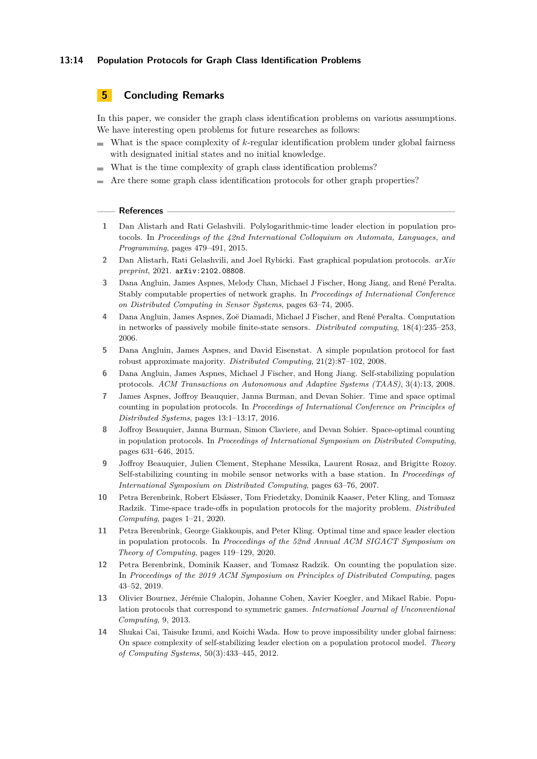### **13:14 Population Protocols for Graph Class Identification Problems**

### **5 Concluding Remarks**

In this paper, we consider the graph class identification problems on various assumptions. We have interesting open problems for future researches as follows:

- What is the space complexity of *k*-regular identification problem under global fairness  $\blacksquare$ with designated initial states and no initial knowledge.
- What is the time complexity of graph class identification problems?  $\sim$
- Are there some graph class identification protocols for other graph properties?

#### **References**

- <span id="page-13-5"></span>**1** Dan Alistarh and Rati Gelashvili. Polylogarithmic-time leader election in population protocols. In *Proceedings of the 42nd International Colloquium on Automata, Languages, and Programming*, pages 479–491, 2015.
- <span id="page-13-1"></span>**2** Dan Alistarh, Rati Gelashvili, and Joel Rybicki. Fast graphical population protocols. *arXiv preprint*, 2021. [arXiv:2102.08808](http://arxiv.org/abs/2102.08808).
- <span id="page-13-3"></span>**3** Dana Angluin, James Aspnes, Melody Chan, Michael J Fischer, Hong Jiang, and René Peralta. Stably computable properties of network graphs. In *Proceedings of International Conference on Distributed Computing in Sensor Systems*, pages 63–74, 2005.
- <span id="page-13-0"></span>**4** Dana Angluin, James Aspnes, Zoë Diamadi, Michael J Fischer, and René Peralta. Computation in networks of passively mobile finite-state sensors. *Distributed computing*, 18(4):235–253, 2006.
- <span id="page-13-10"></span>**5** Dana Angluin, James Aspnes, and David Eisenstat. A simple population protocol for fast robust approximate majority. *Distributed Computing*, 21(2):87–102, 2008.
- <span id="page-13-2"></span>**6** Dana Angluin, James Aspnes, Michael J Fischer, and Hong Jiang. Self-stabilizing population protocols. *ACM Transactions on Autonomous and Adaptive Systems (TAAS)*, 3(4):13, 2008.
- <span id="page-13-7"></span>**7** James Aspnes, Joffroy Beauquier, Janna Burman, and Devan Sohier. Time and space optimal counting in population protocols. In *Proceedings of International Conference on Principles of Distributed Systems*, pages 13:1–13:17, 2016.
- <span id="page-13-8"></span>**8** Joffroy Beauquier, Janna Burman, Simon Claviere, and Devan Sohier. Space-optimal counting in population protocols. In *Proceedings of International Symposium on Distributed Computing*, pages 631–646, 2015.
- <span id="page-13-12"></span>**9** Joffroy Beauquier, Julien Clement, Stephane Messika, Laurent Rosaz, and Brigitte Rozoy. Self-stabilizing counting in mobile sensor networks with a base station. In *Proceedings of International Symposium on Distributed Computing*, pages 63–76, 2007.
- <span id="page-13-11"></span>**10** Petra Berenbrink, Robert Elsässer, Tom Friedetzky, Dominik Kaaser, Peter Kling, and Tomasz Radzik. Time-space trade-offs in population protocols for the majority problem. *Distributed Computing*, pages 1–21, 2020.
- <span id="page-13-6"></span>**11** Petra Berenbrink, George Giakkoupis, and Peter Kling. Optimal time and space leader election in population protocols. In *Proceedings of the 52nd Annual ACM SIGACT Symposium on Theory of Computing*, pages 119–129, 2020.
- <span id="page-13-9"></span>**12** Petra Berenbrink, Dominik Kaaser, and Tomasz Radzik. On counting the population size. In *Proceedings of the 2019 ACM Symposium on Principles of Distributed Computing*, pages 43–52, 2019.
- <span id="page-13-4"></span>**13** Olivier Bournez, Jérémie Chalopin, Johanne Cohen, Xavier Koegler, and Mikael Rabie. Population protocols that correspond to symmetric games. *International Journal of Unconventional Computing*, 9, 2013.
- <span id="page-13-13"></span>**14** Shukai Cai, Taisuke Izumi, and Koichi Wada. How to prove impossibility under global fairness: On space complexity of self-stabilizing leader election on a population protocol model. *Theory of Computing Systems*, 50(3):433–445, 2012.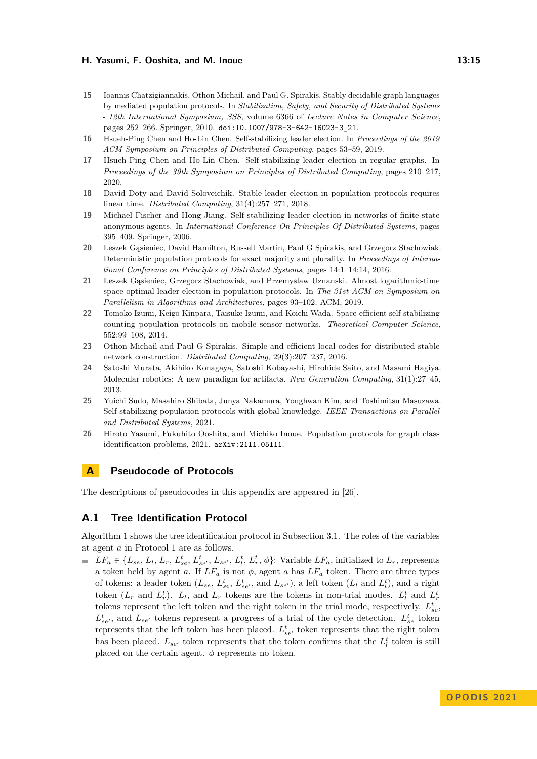- <span id="page-14-9"></span>**15** Ioannis Chatzigiannakis, Othon Michail, and Paul G. Spirakis. Stably decidable graph languages by mediated population protocols. In *Stabilization, Safety, and Security of Distributed Systems - 12th International Symposium, SSS*, volume 6366 of *Lecture Notes in Computer Science*, pages 252–266. Springer, 2010. [doi:10.1007/978-3-642-16023-3\\_21](https://doi.org/10.1007/978-3-642-16023-3_21).
- <span id="page-14-2"></span>**16** Hsueh-Ping Chen and Ho-Lin Chen. Self-stabilizing leader election. In *Proceedings of the 2019 ACM Symposium on Principles of Distributed Computing*, pages 53–59, 2019.
- <span id="page-14-3"></span>**17** Hsueh-Ping Chen and Ho-Lin Chen. Self-stabilizing leader election in regular graphs. In *Proceedings of the 39th Symposium on Principles of Distributed Computing*, pages 210–217, 2020.
- <span id="page-14-4"></span>**18** David Doty and David Soloveichik. Stable leader election in population protocols requires linear time. *Distributed Computing*, 31(4):257–271, 2018.
- <span id="page-14-11"></span>**19** Michael Fischer and Hong Jiang. Self-stabilizing leader election in networks of finite-state anonymous agents. In *International Conference On Principles Of Distributed Systems*, pages 395–409. Springer, 2006.
- <span id="page-14-7"></span>**20** Leszek Gąsieniec, David Hamilton, Russell Martin, Paul G Spirakis, and Grzegorz Stachowiak. Deterministic population protocols for exact majority and plurality. In *Proceedings of International Conference on Principles of Distributed Systems*, pages 14:1–14:14, 2016.
- <span id="page-14-5"></span>**21** Leszek Gąsieniec, Grzegorz Stachowiak, and Przemyslaw Uznanski. Almost logarithmic-time space optimal leader election in population protocols. In *The 31st ACM on Symposium on Parallelism in Algorithms and Architectures*, pages 93–102. ACM, 2019.
- <span id="page-14-6"></span>**22** Tomoko Izumi, Keigo Kinpara, Taisuke Izumi, and Koichi Wada. Space-efficient self-stabilizing counting population protocols on mobile sensor networks. *Theoretical Computer Science*, 552:99–108, 2014.
- <span id="page-14-10"></span>**23** Othon Michail and Paul G Spirakis. Simple and efficient local codes for distributed stable network construction. *Distributed Computing*, 29(3):207–237, 2016.
- <span id="page-14-1"></span>**24** Satoshi Murata, Akihiko Konagaya, Satoshi Kobayashi, Hirohide Saito, and Masami Hagiya. Molecular robotics: A new paradigm for artifacts. *New Generation Computing*, 31(1):27–45, 2013.
- <span id="page-14-8"></span>**25** Yuichi Sudo, Masahiro Shibata, Junya Nakamura, Yonghwan Kim, and Toshimitsu Masuzawa. Self-stabilizing population protocols with global knowledge. *IEEE Transactions on Parallel and Distributed Systems*, 2021.
- <span id="page-14-0"></span>**26** Hiroto Yasumi, Fukuhito Ooshita, and Michiko Inoue. Population protocols for graph class identification problems, 2021. [arXiv:2111.05111](http://arxiv.org/abs/2111.05111).

### **A Pseudocode of Protocols**

The descriptions of pseudocodes in this appendix are appeared in [\[26\]](#page-14-0).

### **A.1 Tree Identification Protocol**

Algorithm [1](#page-15-0) shows the tree identification protocol in Subsection [3.1.](#page-5-0) The roles of the variables at agent *a* in Protocol [1](#page-15-0) are as follows.

 $LF_a \in \{L_{se}, L_l, L_r, L_{se}^t, L_{se'}^t, L_{se'}, L_l^t, L_r^t, \phi\}$ : Variable  $LF_a$ , initialized to  $L_r$ , represents a token held by agent *a*. If  $LF_a$  is not  $\phi$ , agent *a* has  $LF_a$  token. There are three types of tokens: a leader token  $(L_{se}, L_{se}^t, L_{se'}^t$ , and  $L_{se'}$ ), a left token  $(L_l$  and  $L_l^t)$ , and a right token  $(L_r$  and  $L_r^t$ ).  $L_l$ , and  $L_r$  tokens are the tokens in non-trial modes.  $L_l^t$  and  $L_r^t$ tokens represent the left token and the right token in the trial mode, respectively.  $L_{se}^{t}$ ,  $L_{se'}^t$ , and  $L_{se'}$  tokens represent a progress of a trial of the cycle detection.  $L_{se}^t$  token represents that the left token has been placed.  $L_{se'}^t$  token represents that the right token has been placed.  $L_{se'}$  token represents that the token confirms that the  $L_l^t$  token is still placed on the certain agent.  $\phi$  represents no token.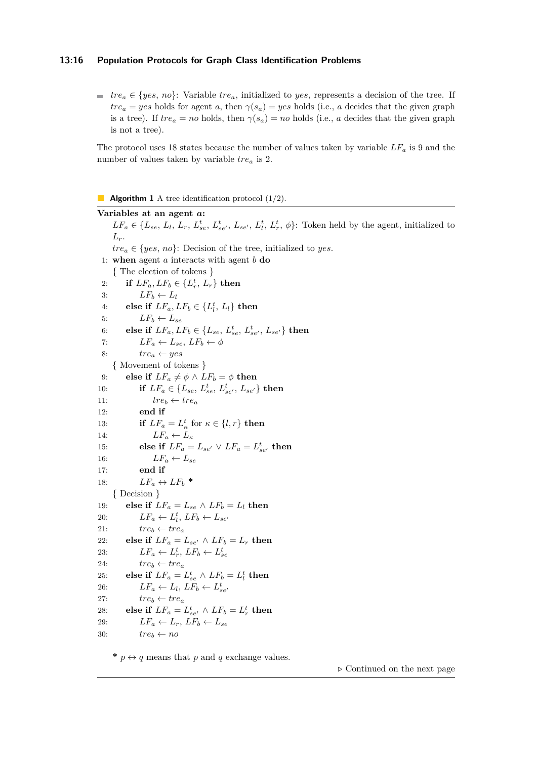### **13:16 Population Protocols for Graph Class Identification Problems**

 $t^*$  *tre<sub>a</sub>* ∈ {*yes*, *no*}: Variable *tre<sub>a</sub>*, initialized to *yes*, represents a decision of the tree. If  $tre<sub>a</sub> = yes$  holds for agent *a*, then  $\gamma(s_a) = yes$  holds (i.e., *a* decides that the given graph is a tree). If  $tre_a = no$  holds, then  $\gamma(s_a) = no$  holds (i.e., *a* decides that the given graph is not a tree).

The protocol uses 18 states because the number of values taken by variable *LF<sup>a</sup>* is 9 and the number of values taken by variable *tre<sup>a</sup>* is 2.

#### <span id="page-15-0"></span>**Algorithm 1** A tree identification protocol  $(1/2)$ .

**Variables at an agent** *a***:**  $LF_a \in \{L_{se}, L_l, L_r, L_{se}^t, L_{se'}^t, L_{se'}, L_l^t, L_r^t, \phi\}$ : Token held by the agent, initialized to  $L_r$ .  $tre_a \in \{yes, no\}$ : Decision of the tree, initialized to *yes*. 1: **when** agent *a* interacts with agent *b* **do** { The election of tokens } 2: **if**  $LF_a, LF_b \in \{L_r^t, L_r\}$  then 3:  $LF_b \leftarrow L_l$ 4: **else if**  $LF_a, LF_b \in \{L_l^t, L_l\}$  then 5:  $LF_b \leftarrow L_{se}$ 6: **else if**  $LF_a, LF_b \in \{L_{se}, L_{se}^t, L_{se'}^t, L_{se'}\}$  then 7:  $LF_a \leftarrow L_{se}, LF_b \leftarrow \phi$ 8:  $tre_a \leftarrow yes$ { Movement of tokens } 9: **else if**  $LF_a \neq \phi \land LF_b = \phi$  **then** 10: **if**  $LF_a \in \{L_{se}, L_{se}^t, L_{se'}^t, L_{se'}\}$  then 11:  $\text{tree}_b \leftarrow \text{tree}_a$ 12: **end if** 13: **if**  $LF_a = L^t_\kappa$  for  $\kappa \in \{l, r\}$  **then** 14:  $LF_a \leftarrow L_{\kappa}$ 15: **else if**  $LF_a = L_{se'} \lor LF_a = L_{se'}^t$  then 16:  $LF_a \leftarrow L_{se}$ 17: **end if** 18:  $LF_a \leftrightarrow LF_b$  \* { Decision } 19: **else if**  $LF_a = L_{se} \land LF_b = L_l$  then 20:  $LF_a \leftarrow L_i^t, LF_b \leftarrow L_{se'}$ 21:  $tree_b \leftarrow tree_a$ 22: **else if**  $LF_a = L_{se'} \wedge LF_b = L_r$  then 23:  $LF_a \leftarrow L_r^t, LF_b \leftarrow L_{se}^t$ 24:  $tree_b \leftarrow tree_a$ 25: **else if**  $LF_a = L_{se}^t \wedge LF_b = L_l^t$  then 26:  $LF_a \leftarrow L_l, \, LF_b \leftarrow L_{se'}^t$ 27:  $tree_b \leftarrow tree_a$ 28: **else if**  $LF_a = L_{se'}^t \wedge LF_b = L_r^t$  then 29:  $LF_a \leftarrow L_r, \, LF_b \leftarrow L_{se}$ 30:  $tree_b \leftarrow no$ 

\*  $p \leftrightarrow q$  means that p and q exchange values.

*▷* Continued on the next page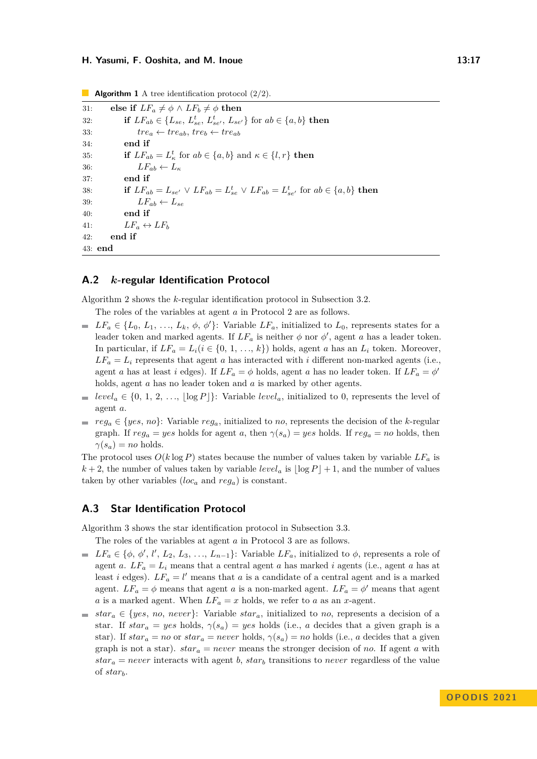31: **else if**  $LF_a \neq \phi \land LF_b \neq \phi$  **then** 32: **if**  $LF_{ab} \in \{L_{se}, L_{se}^t, L_{se'}^t, L_{se'}\}$  for  $ab \in \{a, b\}$  then 33:  $tre_a \leftarrow tre_{ab}, tre_b \leftarrow tre_{ab}$ 34: **end if** 35: **if**  $LF_{ab} = L_{\kappa}^t$  for  $ab \in \{a, b\}$  and  $\kappa \in \{l, r\}$  **then** 36:  $LF_{ab} \leftarrow L_{\kappa}$ 37: **end if** 38: **if**  $LF_{ab} = L_{se'} \lor LF_{ab} = L_{se}^t \lor LF_{ab} = L_{se'}^t$  for  $ab \in \{a, b\}$  then 39:  $LF_{ab} \leftarrow L_{se}$ 40: **end if** 41:  $LF_a \leftrightarrow LF_b$ 42: **end if** 43: **end**

### **Algorithm 1** A tree identification protocol  $(2/2)$ .

### **A.2** *k***-regular Identification Protocol**

Algorithm [2](#page-17-0) shows the *k*-regular identification protocol in Subsection [3.2.](#page-6-1)

- The roles of the variables at agent *a* in Protocol [2](#page-17-0) are as follows.
- $LF_a \in \{L_0, L_1, \ldots, L_k, \phi, \phi'\}$ : Variable  $LF_a$ , initialized to  $L_0$ , represents states for a leader token and marked agents. If  $LF_a$  is neither  $\phi$  nor  $\phi'$ , agent *a* has a leader token. In particular, if  $LF_a = L_i (i \in \{0, 1, ..., k\})$  holds, agent *a* has an  $L_i$  token. Moreover,  $LF_a = L_i$  represents that agent *a* has interacted with *i* different non-marked agents (i.e., agent *a* has at least *i* edges). If  $LF_a = \phi$  holds, agent *a* has no leader token. If  $LF_a = \phi'$ holds, agent *a* has no leader token and *a* is marked by other agents.
- *level*<sub>*a*</sub>  $\in$  {0, 1, 2, ...,  $\log P$  }: Variable *level<sub>a</sub>*, initialized to 0, represents the level of agent *a*.
- $r_{\text{eq}} \in \{yes, no\}$ : Variable *reg<sub>a</sub>*, initialized to *no*, represents the decision of the *k*-regular graph. If  $reg_a = yes$  holds for agent *a*, then  $\gamma(s_a) = yes$  holds. If  $reg_a = no$  holds, then  $\gamma(s_a) = no$  holds.

The protocol uses  $O(k \log P)$  states because the number of values taken by variable  $LF_a$  is  $k+2$ , the number of values taken by variable *level<sub>a</sub>* is  $|\log P|+1$ , and the number of values taken by other variables  $(loc_a \text{ and } reg_a)$  is constant.

### **A.3 Star Identification Protocol**

Algorithm [3](#page-18-0) shows the star identification protocol in Subsection [3.3.](#page-8-0)

The roles of the variables at agent *a* in Protocol [3](#page-18-0) are as follows.

- $LF_a \in \{\phi, \phi', l', L_2, L_3, \ldots, L_{n-1}\}$ : Variable  $LF_a$ , initialized to  $\phi$ , represents a role of agent *a*.  $LF_a = L_i$  means that a central agent *a* has marked *i* agents (i.e., agent *a* has at least *i* edges).  $LF_a = l'$  means that *a* is a candidate of a central agent and is a marked agent.  $LF_a = \phi$  means that agent *a* is a non-marked agent.  $LF_a = \phi'$  means that agent *a* is a marked agent. When  $LF_a = x$  holds, we refer to *a* as an *x*-agent.
- *star<sub>a</sub>* ∈ {*yes*, *no*, *never*}: Variable *star<sub>a</sub>*, initialized to *no*, represents a decision of a star. If  $star_a = yes$  holds,  $\gamma(s_a) = yes$  holds (i.e., *a* decides that a given graph is a star). If  $star_a = no$  or  $star_a = never$  holds,  $\gamma(s_a) = no$  holds (i.e., *a* decides that a given graph is not a star).  $star_a = never$  means the stronger decision of *no*. If agent *a* with  $star_a = never$  interacts with agent *b*,  $star_b$  transitions to *never* regardless of the value of *starb*.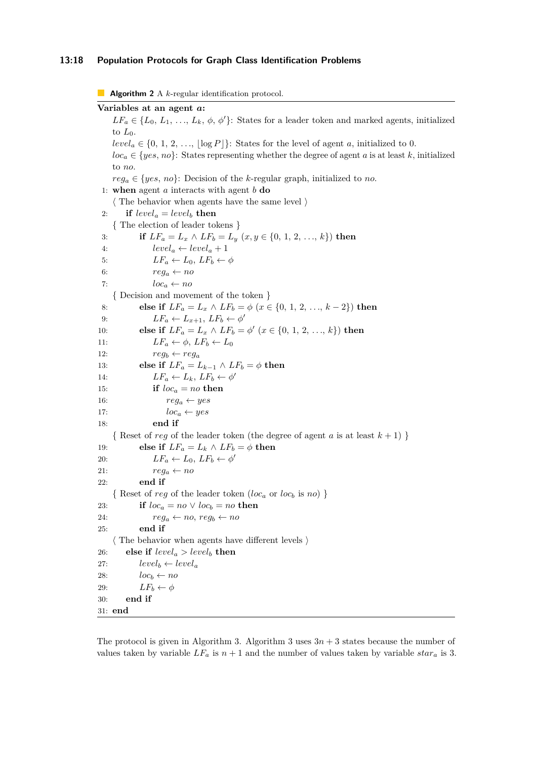#### **13:18 Population Protocols for Graph Class Identification Problems**

<span id="page-17-0"></span>**Algorithm 2** A *k*-regular identification protocol.

**Variables at an agent** *a***:**  $LF_a \in \{L_0, L_1, \ldots, L_k, \phi, \phi'\}$ : States for a leader token and marked agents, initialized to  $L_0$ .  $level_a \in \{0, 1, 2, \ldots, |\log P|\}$ : States for the level of agent *a*, initialized to 0.  $loc_a \in \{yes, no\}$ : States representing whether the degree of agent *a* is at least *k*, initialized to *no*.  $req_a \in \{yes, no\}$ : Decision of the *k*-regular graph, initialized to *no*. 1: **when** agent *a* interacts with agent *b* **do** ⟨ The behavior when agents have the same level ⟩ 2: **if**  $level_a = level_b$  **then** { The election of leader tokens } 3: **if**  $LF_a = L_x \land LF_b = L_y (x, y \in \{0, 1, 2, ..., k\})$  then 4:  $level_a \leftarrow level_a + 1$ 5:  $LF_a \leftarrow L_0, LF_b \leftarrow \phi$ 6:  $reg_a \leftarrow no$ 7:  $loc_a \leftarrow no$ { Decision and movement of the token } 8: **else if**  $LF_a = L_x \land LF_b = \phi$  ( $x \in \{0, 1, 2, ..., k-2\}$ ) then 9:  $LF_a \leftarrow L_{x+1}, \, LF_b \leftarrow \phi'$ 10: **else if**  $LF_a = L_x \land LF_b = \phi' \ (x \in \{0, 1, 2, ..., k\})$  then 11:  $LF_a \leftarrow \phi, LF_b \leftarrow L_0$ 12:  $\text{reg}_b \leftarrow \text{reg}_a$ 13: **else if**  $LF_a = L_{k-1} \wedge LF_b = \phi$  **then** 14:  $LF_a \leftarrow L_k, \, LF_b \leftarrow \phi'$ 15: **if**  $loc_a = no$  **then** 16:  $reg_a \leftarrow yes$ 17:  $loc_a \leftarrow yes$ 18: **end if**  $\{$  Reset of *reg* of the leader token (the degree of agent *a* is at least  $k + 1$ ) } 19: **else if**  $LF_a = L_k \wedge LF_b = \phi$  **then** 20:  $LF_a \leftarrow L_0, \, LF_b \leftarrow \phi'$ 21:  $\text{reg}_a \leftarrow \text{no}$ 22: **end if**  $\{$  Reset of *reg* of the leader token (*loc<sub>a</sub>* or *loc<sub>b</sub>* is *no*)  $\}$ 23: **if**  $loc_a = no \lor loc_b = no$  **then** 24:  $reg_a \leftarrow no, reg_b \leftarrow no$ 25: **end if** ⟨ The behavior when agents have different levels ⟩ 26: **else if**  $level_a > level_b$  **then** 27:  $level_b \leftarrow level_a$ 28:  $loc_b \leftarrow no$ 29:  $LF_b \leftarrow \phi$ 30: **end if** 31: **end**

The protocol is given in Algorithm [3.](#page-18-0) Algorithm [3](#page-18-0) uses  $3n + 3$  states because the number of values taken by variable  $LF_a$  is  $n+1$  and the number of values taken by variable  $star_a$  is 3.